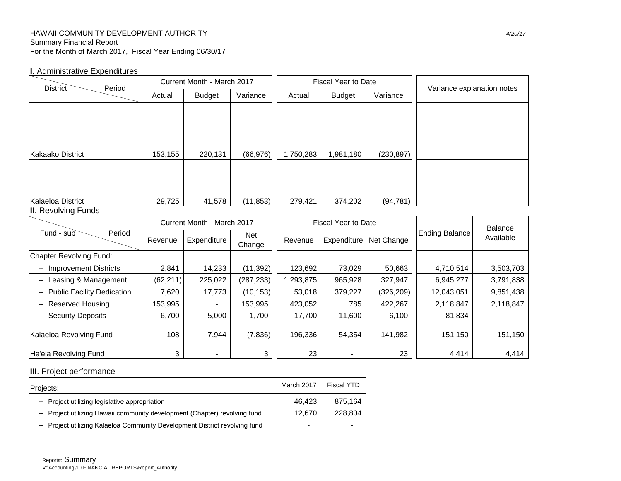## HAWAII COMMUNITY DEVELOPMENT AUTHORITY *4/20/17* Summary Financial Report For the Month of March 2017, Fiscal Year Ending 06/30/17

## **I**. Administrative Expenditures

|                                |           | Current Month - March 2017 |                      |           | <b>Fiscal Year to Date</b> |            | Variance explanation notes |           |  |
|--------------------------------|-----------|----------------------------|----------------------|-----------|----------------------------|------------|----------------------------|-----------|--|
| <b>District</b><br>Period      | Actual    | <b>Budget</b>              | Variance             | Actual    | <b>Budget</b>              | Variance   |                            |           |  |
|                                |           |                            |                      |           |                            |            |                            |           |  |
| <b>Kakaako District</b>        | 153,155   | 220,131                    | (66, 976)            | 1,750,283 | 1,981,180                  | (230, 897) |                            |           |  |
|                                |           |                            |                      |           |                            |            |                            |           |  |
| Kalaeloa District              | 29,725    | 41,578                     | (11, 853)            | 279,421   | 374,202                    | (94, 781)  |                            |           |  |
| <b>II.</b> Revolving Funds     |           |                            |                      |           |                            |            |                            |           |  |
|                                |           | Current Month - March 2017 |                      |           | <b>Fiscal Year to Date</b> |            | <b>Balance</b>             |           |  |
| Period<br>Fund - sub           | Revenue   | Expenditure                | <b>Net</b><br>Change | Revenue   | Expenditure                | Net Change | <b>Ending Balance</b>      | Available |  |
| <b>Chapter Revolving Fund:</b> |           |                            |                      |           |                            |            |                            |           |  |
| <b>Improvement Districts</b>   | 2,841     | 14,233                     | (11, 392)            | 123,692   | 73,029                     | 50,663     | 4,710,514                  | 3,503,703 |  |
| Leasing & Management           | (62, 211) | 225,022                    | (287, 233)           | 1,293,875 | 965,928                    | 327,947    | 6,945,277                  | 3,791,838 |  |
| -- Public Facility Dedication  | 7,620     | 17,773                     | (10, 153)            | 53,018    | 379,227                    | (326, 209) | 12,043,051                 | 9,851,438 |  |
| -- Reserved Housing            | 153,995   |                            | 153,995              | 423,052   | 785                        | 422,267    | 2,118,847                  | 2,118,847 |  |
| -- Security Deposits           | 6,700     | 5,000                      | 1,700                | 17,700    | 11,600                     | 6,100      | 81,834                     |           |  |
| Kalaeloa Revolving Fund        | 108       | 7,944                      | (7, 836)             | 196,336   | 54,354                     | 141,982    | 151,150                    | 151,150   |  |
| He'eia Revolving Fund          | 3         | $\overline{\phantom{a}}$   | 3                    | 23        | $\blacksquare$             | 23         | 4,414                      | 4,414     |  |

# **III**. Project performance

| Projects:                                                                   | March 2017 | Fiscal YTD |
|-----------------------------------------------------------------------------|------------|------------|
| -- Project utilizing legislative appropriation                              | 46.423     | 875.164    |
| -- Project utilizing Hawaii community development (Chapter) revolving fund  | 12.670     | 228,804    |
| -- Project utilizing Kalaeloa Community Development District revolving fund | -          |            |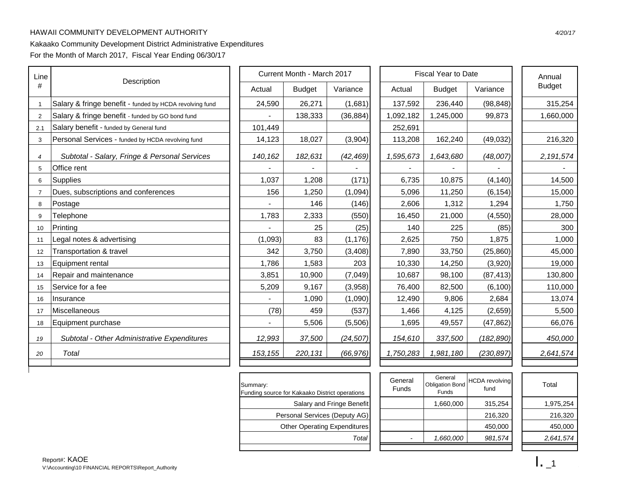# HAWAII COMMUNITY DEVELOPMENT AUTHORITY *4/20/17*

# Kakaako Community Development District Administrative Expenditures

For the Month of March 2017, Fiscal Year Ending 06/30/17

| Line            |                                                         |          | Current Month - March 2017 |           | <b>Fiscal Year to Date</b> |               |            |  | Annual        |  |
|-----------------|---------------------------------------------------------|----------|----------------------------|-----------|----------------------------|---------------|------------|--|---------------|--|
| #               | Description                                             | Actual   | <b>Budget</b>              | Variance  | Actual                     | <b>Budget</b> | Variance   |  | <b>Budget</b> |  |
|                 | Salary & fringe benefit - funded by HCDA revolving fund | 24,590   | 26,271                     | (1,681)   | 137,592                    | 236,440       | (98, 848)  |  | 315,254       |  |
| $\overline{2}$  | Salary & fringe benefit - funded by GO bond fund        |          | 138,333                    | (36, 884) | 1,092,182                  | 1,245,000     | 99,873     |  | 1,660,000     |  |
| 2.1             | Salary benefit - funded by General fund                 | 101,449  |                            |           | 252,691                    |               |            |  |               |  |
| 3               | Personal Services - funded by HCDA revolving fund       | 14,123   | 18,027                     | (3,904)   | 113,208                    | 162,240       | (49, 032)  |  | 216,320       |  |
| $\overline{4}$  | Subtotal - Salary, Fringe & Personal Services           | 140, 162 | 182,631                    | (42, 469) | 1,595,673                  | 1,643,680     | (48,007)   |  | 2,191,574     |  |
| 5               | Office rent                                             |          |                            |           |                            |               |            |  |               |  |
| 6               | Supplies                                                | 1,037    | 1,208                      | (171)     | 6,735                      | 10,875        | (4, 140)   |  | 14,500        |  |
|                 | Dues, subscriptions and conferences                     | 156      | 1,250                      | (1,094)   | 5,096                      | 11,250        | (6, 154)   |  | 15,000        |  |
| 8               | Postage                                                 |          | 146                        | (146)     | 2,606                      | 1,312         | 1,294      |  | 1,750         |  |
| 9               | Telephone                                               | 1,783    | 2,333                      | (550)     | 16,450                     | 21,000        | (4, 550)   |  | 28,000        |  |
| 10 <sup>°</sup> | Printing                                                |          | 25                         | (25)      | 140                        | 225           | (85)       |  | 300           |  |
| 11              | Legal notes & advertising                               | (1,093)  | 83                         | (1, 176)  | 2,625                      | 750           | 1,875      |  | 1,000         |  |
| 12              | Transportation & travel                                 | 342      | 3,750                      | (3, 408)  | 7,890                      | 33,750        | (25, 860)  |  | 45,000        |  |
| 13              | Equipment rental                                        | 1,786    | 1,583                      | 203       | 10,330                     | 14,250        | (3,920)    |  | 19,000        |  |
| 14              | Repair and maintenance                                  | 3,851    | 10,900                     | (7,049)   | 10,687                     | 98,100        | (87, 413)  |  | 130,800       |  |
| 15              | Service for a fee                                       | 5,209    | 9,167                      | (3,958)   | 76,400                     | 82,500        | (6, 100)   |  | 110,000       |  |
| 16              | Insurance                                               |          | 1,090                      | (1,090)   | 12,490                     | 9,806         | 2,684      |  | 13,074        |  |
| 17              | Miscellaneous                                           | (78)     | 459                        | (537)     | 1,466                      | 4,125         | (2,659)    |  | 5,500         |  |
| 18              | Equipment purchase                                      |          | 5,506                      | (5,506)   | 1,695                      | 49,557        | (47, 862)  |  | 66,076        |  |
| 19              | Subtotal - Other Administrative Expenditures            | 12,993   | 37,500                     | (24, 507) | 154,610                    | 337,500       | (182, 890) |  | 450,000       |  |
| 20              | Total                                                   | 153, 155 | 220,131                    | (66, 976) | 1,750,283                  | 1,981,180     | (230, 897) |  | 2,641,574     |  |
|                 |                                                         |          |                            |           |                            |               |            |  |               |  |

| Summary:<br>Funding source for Kakaako District operations |
|------------------------------------------------------------|
| Salary and Fringe Benefit                                  |
| Personal Services (Deputy AG)                              |
| <b>Other Operating Expenditures</b>                        |
| Tota                                                       |
|                                                            |

| ce for Kakaako District operations  | General<br><b>Funds</b> | General<br><b>Obligation Bond</b><br><b>Funds</b> | <b>HCDA</b> revolving<br>fund | Total     |
|-------------------------------------|-------------------------|---------------------------------------------------|-------------------------------|-----------|
| Salary and Fringe Benefit           |                         | 1,660,000                                         | 315.254                       | 1,975,254 |
| Personal Services (Deputy AG)       |                         |                                                   | 216.320                       | 216,320   |
| <b>Other Operating Expenditures</b> |                         |                                                   | 450.000                       | 450,000   |
| Total                               |                         | 1,660,000                                         | 981,574                       | 2,641,574 |
|                                     |                         |                                                   |                               |           |

| Total     |
|-----------|
| 1,975,254 |
| 216,320   |
| 450,000   |
| 2,641,574 |
|           |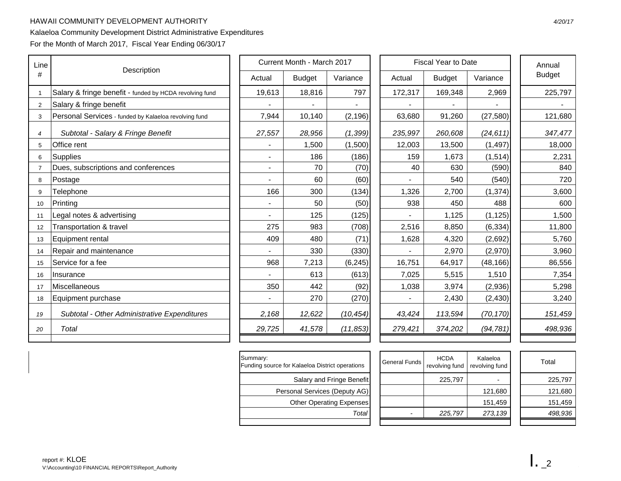## HAWAII COMMUNITY DEVELOPMENT AUTHORITY *4/20/17*

# Kalaeloa Community Development District Administrative Expenditures

For the Month of March 2017, Fiscal Year Ending 06/30/17

| Line           |                                                         |  |                | Current Month - March 2017 |           | <b>Fiscal Year to Date</b> |               |           |  | Annual        |
|----------------|---------------------------------------------------------|--|----------------|----------------------------|-----------|----------------------------|---------------|-----------|--|---------------|
| #              | Description                                             |  | Actual         | <b>Budget</b>              | Variance  | Actual                     | <b>Budget</b> | Variance  |  | <b>Budget</b> |
| -1             | Salary & fringe benefit - funded by HCDA revolving fund |  | 19,613         | 18,816                     | 797       | 172,317                    | 169,348       | 2,969     |  | 225,797       |
| $\overline{2}$ | Salary & fringe benefit                                 |  |                |                            |           |                            |               |           |  |               |
| 3              | Personal Services - funded by Kalaeloa revolving fund   |  | 7,944          | 10,140                     | (2, 196)  | 63,680                     | 91,260        | (27, 580) |  | 121,680       |
| $\overline{4}$ | Subtotal - Salary & Fringe Benefit                      |  | 27,557         | 28,956                     | (1, 399)  | 235,997                    | 260,608       | (24, 611) |  | 347,477       |
| 5              | Office rent                                             |  |                | 1,500                      | (1,500)   | 12,003                     | 13,500        | (1, 497)  |  | 18,000        |
| 6              | Supplies                                                |  |                | 186                        | (186)     | 159                        | 1,673         | (1,514)   |  | 2,231         |
| 7              | Dues, subscriptions and conferences                     |  | $\blacksquare$ | 70                         | (70)      | 40                         | 630           | (590)     |  | 840           |
| 8              | Postage                                                 |  |                | 60                         | (60)      |                            | 540           | (540)     |  | 720           |
| 9              | Telephone                                               |  | 166            | 300                        | (134)     | 1,326                      | 2,700         | (1, 374)  |  | 3,600         |
| 10             | Printing                                                |  |                | 50                         | (50)      | 938                        | 450           | 488       |  | 600           |
| 11             | Legal notes & advertising                               |  |                | 125                        | (125)     |                            | 1,125         | (1, 125)  |  | 1,500         |
| 12             | Transportation & travel                                 |  | 275            | 983                        | (708)     | 2,516                      | 8,850         | (6, 334)  |  | 11,800        |
| 13             | Equipment rental                                        |  | 409            | 480                        | (71)      | 1,628                      | 4,320         | (2,692)   |  | 5,760         |
| 14             | Repair and maintenance                                  |  |                | 330                        | (330)     |                            | 2,970         | (2,970)   |  | 3,960         |
| 15             | Service for a fee                                       |  | 968            | 7,213                      | (6, 245)  | 16,751                     | 64,917        | (48, 166) |  | 86,556        |
| 16             | Insurance                                               |  |                | 613                        | (613)     | 7,025                      | 5,515         | 1,510     |  | 7,354         |
| 17             | Miscellaneous                                           |  | 350            | 442                        | (92)      | 1,038                      | 3,974         | (2,936)   |  | 5,298         |
| 18             | Equipment purchase                                      |  |                | 270                        | (270)     |                            | 2,430         | (2, 430)  |  | 3,240         |
| 19             | Subtotal - Other Administrative Expenditures            |  | 2,168          | 12,622                     | (10, 454) | 43,424                     | 113,594       | (70, 170) |  | 151,459       |
| 20             | Total                                                   |  | 29,725         | 41,578                     | (11, 853) | 279,421                    | 374,202       | (94, 781) |  | 498,936       |
|                |                                                         |  |                |                            |           |                            |               |           |  |               |

| Summary:<br>Funding source for Kalaeloa District operations |  |
|-------------------------------------------------------------|--|
| Salary and Fringe Benefit                                   |  |
| Personal Services (Deputy AG)                               |  |
| <b>Other Operating Expenses</b>                             |  |
| Tota                                                        |  |
|                                                             |  |

| ce for Kalaeloa District operations | General Funds | <b>HCDA</b><br>revolving fund | Kalaeloa<br>revolving fund | Total   |
|-------------------------------------|---------------|-------------------------------|----------------------------|---------|
| Salary and Fringe Benefit           |               | 225,797                       |                            | 225,797 |
| Personal Services (Deputy AG)       |               |                               | 121,680                    | 121,680 |
| Other Operating Expenses            |               |                               | 151.459                    | 151,459 |
| Total                               |               | 225,797                       | 273,139                    | 498,936 |
|                                     |               |                               |                            |         |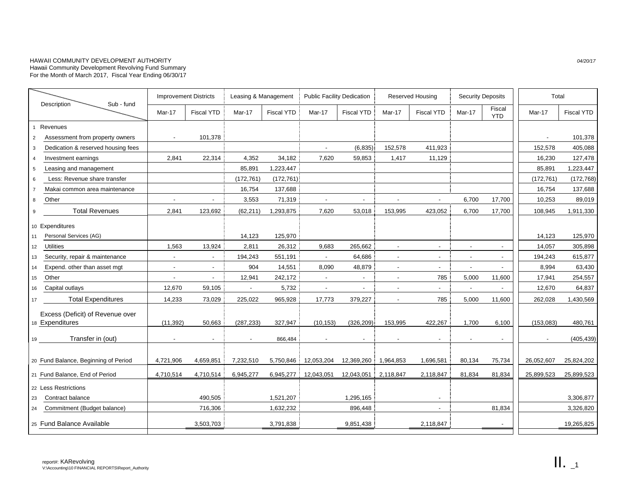#### HAWAII COMMUNITY DEVELOPMENT AUTHORITY *04/20/17* Hawaii Community Development Revolving Fund Summary For the Month of March 2017, Fiscal Year Ending 06/30/17

|                 |                                      |                          | <b>Improvement Districts</b> | Leasing & Management |                   | <b>Public Facility Dedication</b> |                          | Reserved Housing         |                          | <b>Security Deposits</b> |                          | Total                    |                   |  |
|-----------------|--------------------------------------|--------------------------|------------------------------|----------------------|-------------------|-----------------------------------|--------------------------|--------------------------|--------------------------|--------------------------|--------------------------|--------------------------|-------------------|--|
|                 | Sub - fund<br>Description            | Mar-17                   | <b>Fiscal YTD</b>            | Mar-17               | <b>Fiscal YTD</b> | Mar-17                            | <b>Fiscal YTD</b>        | Mar-17                   | <b>Fiscal YTD</b>        | Mar-17                   | Fiscal<br><b>YTD</b>     | Mar-17                   | <b>Fiscal YTD</b> |  |
|                 | Revenues                             |                          |                              |                      |                   |                                   |                          |                          |                          |                          |                          |                          |                   |  |
| $\overline{2}$  | Assessment from property owners      | $\sim$                   | 101,378                      |                      |                   |                                   |                          |                          |                          |                          |                          | $\overline{\phantom{a}}$ | 101,378           |  |
| 3               | Dedication & reserved housing fees   |                          |                              |                      |                   | $\mathcal{L}_{\mathcal{A}}$       | (6, 835)                 | 152,578                  | 411,923                  |                          |                          | 152,578                  | 405,088           |  |
|                 | Investment earnings                  | 2,841                    | 22,314                       | 4,352                | 34,182            | 7,620                             | 59,853                   | 1,417                    | 11,129                   |                          |                          | 16,230                   | 127,478           |  |
| 5               | Leasing and management               |                          |                              | 85,891               | 1,223,447         |                                   |                          |                          |                          |                          |                          | 85,891                   | 1,223,447         |  |
| 6               | Less: Revenue share transfer         |                          |                              | (172, 761)           | (172, 761)        |                                   |                          |                          |                          |                          |                          | (172, 761)               | (172, 768)        |  |
| $\overline{7}$  | Makai common area maintenance        |                          |                              | 16,754               | 137,688           |                                   |                          |                          |                          |                          |                          | 16,754                   | 137,688           |  |
| 8               | Other                                | $\overline{\phantom{a}}$ | $\sim$                       | 3,553                | 71,319            | $\sim$                            | $\overline{\phantom{a}}$ | $\sim$                   | $\overline{\phantom{a}}$ | 6,700                    | 17,700                   | 10,253                   | 89,019            |  |
| 9               | <b>Total Revenues</b>                | 2,841                    | 123,692                      | (62, 211)            | 1,293,875         | 7,620                             | 53,018                   | 153,995                  | 423,052                  | 6,700                    | 17,700                   | 108,945                  | 1,911,330         |  |
|                 | 10 Expenditures                      |                          |                              |                      |                   |                                   |                          |                          |                          |                          |                          |                          |                   |  |
| 11              | Personal Services (AG)               |                          |                              | 14,123               | 125,970           |                                   |                          |                          |                          |                          |                          | 14,123                   | 125,970           |  |
| 12 <sup>2</sup> | Utilities                            | 1,563                    | 13,924                       | 2,811                | 26,312            | 9,683                             | 265,662                  | $\sim$                   | $\sim$                   | $\overline{\phantom{a}}$ | $\sim$                   | 14,057                   | 305,898           |  |
| 13              | Security, repair & maintenance       | $\overline{\phantom{a}}$ | $\overline{\phantom{a}}$     | 194,243              | 551,191           | $\sim$                            | 64,686                   | $\overline{\phantom{a}}$ | $\sim$                   | $\overline{\phantom{a}}$ | $\sim$                   | 194,243                  | 615,877           |  |
| 14              | Expend. other than asset mgt         | $\blacksquare$           | $\sim$                       | 904                  | 14,551            | 8,090                             | 48,879                   | $\overline{a}$           | $\sim$                   | $\blacksquare$           | $\sim$                   | 8,994                    | 63,430            |  |
| 15              | Other                                | $\overline{\phantom{a}}$ | $\sim$                       | 12,941               | 242,172           | $\sim$                            | $\sim$                   | $\overline{\phantom{a}}$ | 785                      | 5,000                    | 11,600                   | 17,941                   | 254,557           |  |
| 16              | Capital outlays                      | 12,670                   | 59,105                       | $\sim$               | 5,732             | $\sim$                            | $\sim$                   | $\blacksquare$           | $\sim$                   | $\overline{a}$           |                          | 12,670                   | 64,837            |  |
| 17              | <b>Total Expenditures</b>            | 14,233                   | 73,029                       | 225,022              | 965,928           | 17,773                            | 379,227                  | $\overline{a}$           | 785                      | 5,000                    | 11,600                   | 262,028                  | 1,430,569         |  |
|                 | Excess (Deficit) of Revenue over     |                          |                              |                      |                   |                                   |                          |                          |                          |                          |                          |                          |                   |  |
|                 | 18 Expenditures                      | (11, 392)                | 50,663                       | (287, 233)           | 327,947           | (10, 153)                         | (326, 209)               | 153.995                  | 422,267                  | 1,700                    | 6,100                    | (153,083)                | 480,761           |  |
| 19              | Transfer in (out)                    | $\sim$                   | $\sim$                       |                      | 866,484           | $\overline{\phantom{a}}$          | $\overline{\phantom{a}}$ | $\overline{\phantom{a}}$ |                          | $\overline{\phantom{a}}$ | $\overline{\phantom{a}}$ | $\overline{\phantom{a}}$ | (405, 439)        |  |
|                 |                                      |                          |                              |                      |                   |                                   |                          |                          |                          |                          |                          |                          |                   |  |
|                 | 20 Fund Balance, Beginning of Period | 4,721,906                | 4,659,851                    | 7,232,510            | 5,750,846         | 12,053,204                        | 12,369,260               | 1,964,853                | 1,696,581                | 80,134                   | 75,734                   | 26,052,607               | 25,824,202        |  |
|                 | 21 Fund Balance, End of Period       | 4,710,514                | 4,710,514                    | 6,945,277            | 6,945,277         | 12,043,051                        | 12,043,051               | 2,118,847                | 2,118,847                | 81,834                   | 81,834                   | 25,899,523               | 25,899,523        |  |
|                 | 22 Less Restrictions                 |                          |                              |                      |                   |                                   |                          |                          |                          |                          |                          |                          |                   |  |
| 23              | Contract balance                     |                          | 490,505                      |                      | 1,521,207         |                                   | 1,295,165                |                          |                          |                          |                          |                          | 3,306,877         |  |
| 24              | Commitment (Budget balance)          |                          | 716,306                      |                      | 1,632,232         |                                   | 896,448                  |                          | $\sim$                   |                          | 81,834                   |                          | 3,326,820         |  |
|                 | 25 Fund Balance Available            |                          | 3,503,703                    |                      | 3,791,838         |                                   | 9,851,438                |                          | 2,118,847                |                          | $\sim$                   |                          | 19,265,825        |  |
|                 |                                      |                          |                              |                      |                   |                                   |                          |                          |                          |                          |                          |                          |                   |  |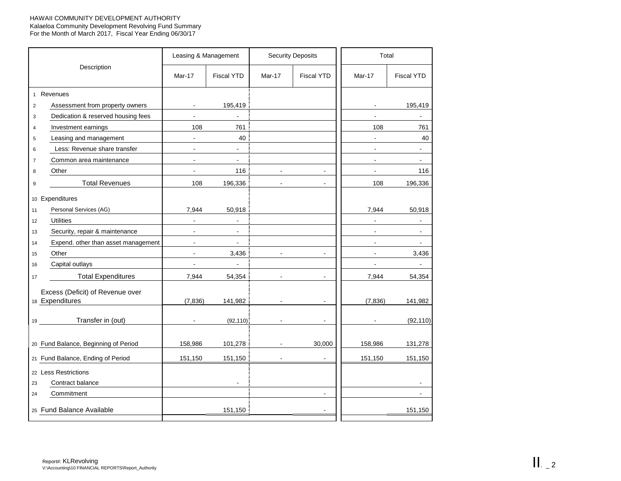#### HAWAII COMMUNITY DEVELOPMENT AUTHORITY Kalaeloa Community Development Revolving Fund Summary For the Month of March 2017, Fiscal Year Ending 06/30/17

|                 |                                                     |                | Leasing & Management |                | <b>Security Deposits</b> | Total          |                   |  |
|-----------------|-----------------------------------------------------|----------------|----------------------|----------------|--------------------------|----------------|-------------------|--|
|                 | Description                                         | Mar-17         | <b>Fiscal YTD</b>    | Mar-17         | <b>Fiscal YTD</b>        | Mar-17         | <b>Fiscal YTD</b> |  |
|                 | 1 Revenues                                          |                |                      |                |                          |                |                   |  |
| $\overline{2}$  | Assessment from property owners                     |                | 195,419              |                |                          |                | 195,419           |  |
| 3               | Dedication & reserved housing fees                  |                | $\sim$               |                |                          | $\sim$         | $\sim$            |  |
| $\overline{4}$  | Investment earnings                                 | 108            | 761                  |                |                          | 108            | 761               |  |
| 5               | Leasing and management                              | $\blacksquare$ | 40                   |                |                          | $\blacksquare$ | 40                |  |
| 6               | Less: Revenue share transfer                        | $\sim$         | $\sim$               |                |                          | $\blacksquare$ | $\blacksquare$    |  |
| $\overline{7}$  | Common area maintenance                             |                |                      |                |                          |                |                   |  |
| 8               | Other                                               |                | 116                  |                |                          |                | 116               |  |
| 9               | <b>Total Revenues</b>                               | 108            | 196,336              | $\blacksquare$ | $\blacksquare$           | 108            | 196,336           |  |
| 10 <sup>1</sup> | Expenditures                                        |                |                      |                |                          |                |                   |  |
| 11              | Personal Services (AG)                              | 7,944          | 50,918               |                |                          | 7,944          | 50,918            |  |
| 12              | <b>Utilities</b>                                    | $\sim$         | $\blacksquare$       |                |                          | $\blacksquare$ | $\sim$            |  |
| 13              | Security, repair & maintenance                      | $\sim$         | $\sim$               |                |                          | $\blacksquare$ | $\blacksquare$    |  |
| 14              | Expend. other than asset management                 | $\mathbf{r}$   | $\blacksquare$       |                |                          |                |                   |  |
| 15              | Other                                               | $\blacksquare$ | 3,436                | $\mathbf{r}$   | $\blacksquare$           | $\sim$         | 3,436             |  |
| 16              | Capital outlays                                     | $\blacksquare$ | $\blacksquare$       |                |                          | $\blacksquare$ | $\blacksquare$    |  |
| 17              | <b>Total Expenditures</b>                           | 7,944          | 54,354               | $\blacksquare$ | $\overline{a}$           | 7,944          | 54,354            |  |
|                 | Excess (Deficit) of Revenue over<br>18 Expenditures | (7,836)        | 141,982              |                |                          | (7, 836)       | 141,982           |  |
|                 |                                                     |                |                      |                |                          |                |                   |  |
|                 | Transfer in (out)<br>19                             |                | (92, 110)            |                |                          |                | (92, 110)         |  |
|                 | 20 Fund Balance, Beginning of Period                | 158,986        | 101,278              | $\sim$         | 30,000                   | 158,986        | 131,278           |  |
|                 | 21 Fund Balance, Ending of Period                   | 151,150        | 151,150              | $\blacksquare$ | $\blacksquare$           | 151,150        | 151,150           |  |
| 23              | 22 Less Restrictions<br>Contract balance            |                |                      |                |                          |                | $\blacksquare$    |  |
| 24              | Commitment                                          |                |                      |                | $\sim$                   |                | $\blacksquare$    |  |
|                 | 25 Fund Balance Available                           |                | 151,150              |                |                          |                | 151,150           |  |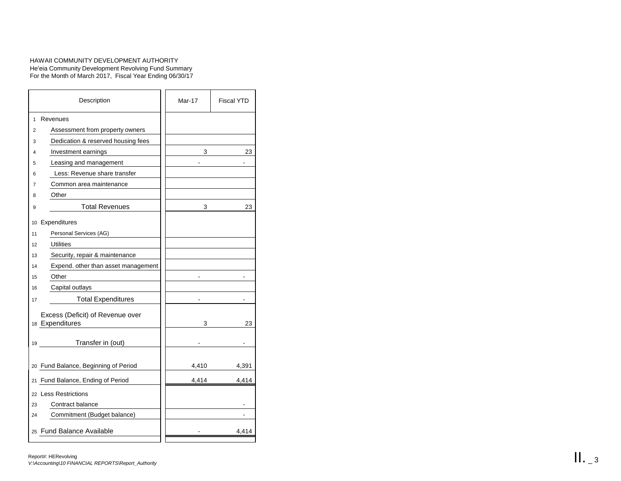### HAWAII COMMUNITY DEVELOPMENT AUTHORITY He'eia Community Development Revolving Fund Summary For the Month of March 2017, Fiscal Year Ending 06/30/17

| Description                                         | Mar-17 | <b>Fiscal YTD</b> |
|-----------------------------------------------------|--------|-------------------|
| 1<br>Revenues                                       |        |                   |
| Assessment from property owners<br>2                |        |                   |
| Dedication & reserved housing fees<br>3             |        |                   |
| Investment earnings<br>4                            | 3      | 23                |
| Leasing and management<br>5                         |        |                   |
| Less: Revenue share transfer<br>6                   |        |                   |
| Common area maintenance<br>7                        |        |                   |
| Other<br>8                                          |        |                   |
| <b>Total Revenues</b><br>9                          | 3      | 23                |
| Expenditures<br>10                                  |        |                   |
| Personal Services (AG)<br>11                        |        |                   |
| Utilities<br>12                                     |        |                   |
| Security, repair & maintenance<br>13                |        |                   |
| Expend. other than asset management<br>14           |        |                   |
| Other<br>15                                         |        |                   |
| Capital outlays<br>16                               |        |                   |
| <b>Total Expenditures</b><br>17                     |        |                   |
| Excess (Deficit) of Revenue over<br>18 Expenditures | 3      | 23                |
| Transfer in (out)<br>19                             |        |                   |
| 20 Fund Balance, Beginning of Period                | 4,410  | 4,391             |
| Fund Balance, Ending of Period<br>21                | 4,414  | 4,414             |
| 22 Less Restrictions                                |        |                   |
| Contract balance<br>23                              |        |                   |
| Commitment (Budget balance)<br>24                   |        |                   |
| 25 Fund Balance Available                           |        | 4,414             |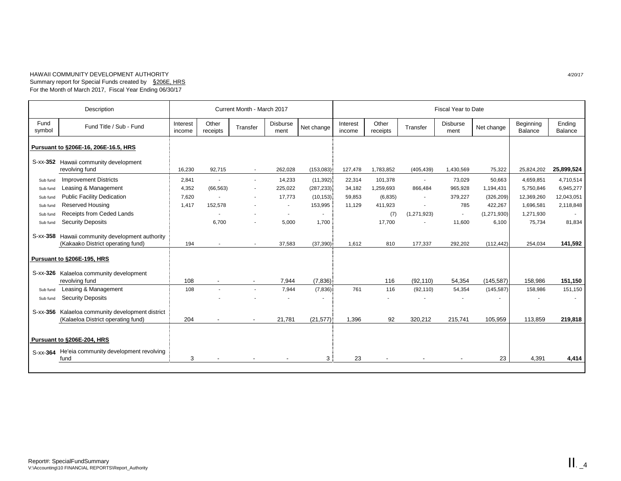#### HAWAII COMMUNITY DEVELOPMENT AUTHORITY *4/20/17* Summary report for Special Funds created by §206E, HRS For the Month of March 2017, Fiscal Year Ending 06/30/17

| Description                          |                                                                                        |                    |                          | Current Month - March 2017                           |                         |                             | Fiscal Year to Date |                          |                          |                         |                         |                         |                          |
|--------------------------------------|----------------------------------------------------------------------------------------|--------------------|--------------------------|------------------------------------------------------|-------------------------|-----------------------------|---------------------|--------------------------|--------------------------|-------------------------|-------------------------|-------------------------|--------------------------|
| Fund<br>symbol                       | Fund Title / Sub - Fund                                                                | Interest<br>income | Other<br>receipts        | Transfer                                             | <b>Disburse</b><br>ment | Net change                  | Interest<br>income  | Other<br>receipts        | Transfer                 | <b>Disburse</b><br>ment | Net change              | Beginning<br>Balance    | Ending<br><b>Balance</b> |
| Pursuant to §206E-16, 206E-16.5, HRS |                                                                                        |                    |                          |                                                      |                         |                             |                     |                          |                          |                         |                         |                         |                          |
|                                      | S-xx-352 Hawaii community development<br>revolving fund                                | 16,230             | 92,715                   | $\sim$                                               | 262,028                 | (153,083)                   | 127,478             | 1,783,852                | (405, 439)               | 1,430,569               | 75,322                  | 25,824,202              | 25,899,524               |
| Sub fund                             | <b>Improvement Districts</b>                                                           | 2,841              | $\sim$                   | $\overline{\phantom{a}}$                             | 14,233                  | (11, 392)                   | 22,314              | 101,378                  | $\overline{\phantom{a}}$ | 73,029                  | 50,663                  | 4,659,851               | 4,710,514                |
| Sub fund<br>Sub fund                 | Leasing & Management<br><b>Public Facility Dedication</b>                              | 4,352<br>7,620     | (66, 563)                | $\overline{\phantom{a}}$<br>$\overline{\phantom{a}}$ | 225,022<br>17,773       | (287, 233)<br>$(10, 153)$ : | 34,182<br>59,853    | 1,259,693<br>(6, 835)    | 866,484                  | 965,928<br>379,227      | 1,194,431<br>(326, 209) | 5,750,846<br>12,369,260 | 6,945,277<br>12,043,051  |
| Sub fund                             | <b>Reserved Housing</b>                                                                | 1,417              | 152,578                  |                                                      | $\sim$                  | 153,995                     | 11,129              | 411,923                  | $\sim$                   | 785                     | 422,267                 | 1,696,581               | 2,118,848                |
| Sub fund                             | Receipts from Ceded Lands                                                              |                    |                          |                                                      | $\sim$                  | $\blacksquare$              |                     | (7)                      | (1, 271, 923)            | $\sim$                  | (1,271,930)             | 1,271,930               |                          |
| Sub fund                             | <b>Security Deposits</b>                                                               |                    | 6.700                    |                                                      | 5,000                   | 1,700                       |                     | 17,700                   |                          | 11,600                  | 6,100                   | 75,734                  | 81,834                   |
| S-xx-358                             | Hawaii community development authority<br>(Kakaako District operating fund)            | 194                | $\overline{\phantom{a}}$ | $\overline{\phantom{a}}$                             | 37,583                  | (37, 390)                   | 1,612               | 810                      | 177,337                  | 292,202                 | (112, 442)              | 254,034                 | 141,592                  |
| Pursuant to §206E-195, HRS           |                                                                                        |                    |                          |                                                      |                         |                             |                     |                          |                          |                         |                         |                         |                          |
| S-xx-326                             | Kalaeloa community development                                                         | 108                | $\overline{\phantom{a}}$ |                                                      | 7,944                   | (7,836)                     |                     | 116                      | (92, 110)                | 54,354                  | (145, 587)              | 158,986                 | 151,150                  |
| Sub fund                             | revolving fund<br>Leasing & Management                                                 | 108                |                          | $\sim$<br>$\mathbf{r}$                               | 7,944                   | (7,836)                     | 761                 | 116                      | (92, 110)                | 54,354                  | (145, 587)              | 158,986                 | 151,150                  |
| Sub fund                             | <b>Security Deposits</b>                                                               |                    |                          |                                                      |                         |                             |                     | $\overline{\phantom{a}}$ |                          |                         |                         |                         |                          |
|                                      | S-xx-356 Kalaeloa community development district<br>(Kalaeloa District operating fund) | 204                |                          | $\overline{\phantom{a}}$                             | 21,781                  | (21, 577)                   | 1,396               | 92                       | 320.212                  | 215,741                 | 105,959                 | 113,859                 | 219.818                  |
| Pursuant to §206E-204, HRS           |                                                                                        |                    |                          |                                                      |                         |                             |                     |                          |                          |                         |                         |                         |                          |
|                                      | S-xx-364 He'eia community development revolving<br>fund                                | 3                  |                          |                                                      |                         | 3 <sup>1</sup>              | 23                  |                          |                          |                         | 23                      | 4,391                   | 4,414                    |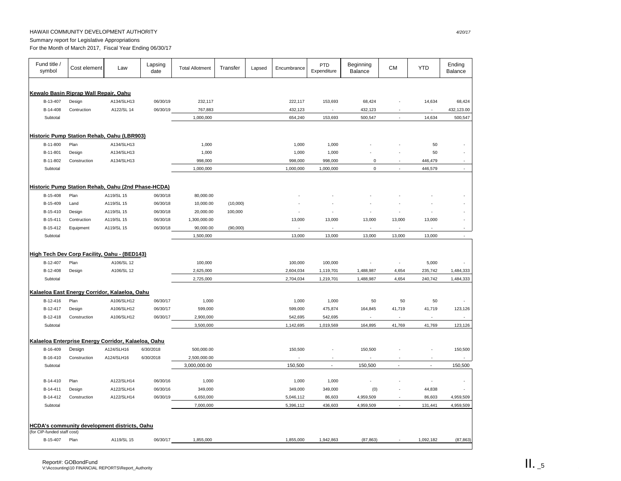## HAWAII COMMUNITY DEVELOPMENT AUTHORITY *4/20/17*

Summary report for Legislative Appropriations

For the Month of March 2017, Fiscal Year Ending 06/30/17

| Fund title /<br>symbol                                   | Cost element | Law        | Lapsing<br>date | <b>Total Allotment</b> | Transfer | Lapsed | Encumbrance | PTD<br>Expenditure       | Beginning<br><b>Balance</b> | <b>CM</b>      | <b>YTD</b>     | Ending<br>Balance |
|----------------------------------------------------------|--------------|------------|-----------------|------------------------|----------|--------|-------------|--------------------------|-----------------------------|----------------|----------------|-------------------|
|                                                          |              |            |                 |                        |          |        |             |                          |                             |                |                |                   |
| Kewalo Basin Riprap Wall Repair, Oahu                    |              |            |                 |                        |          |        |             |                          |                             |                |                |                   |
| B-13-407                                                 | Design       | A134/SLH13 | 06/30/19        | 232,117                |          |        | 222,117     | 153,693                  | 68,424                      |                | 14,634         | 68,424            |
| B-14-408                                                 | Contruction  | A122/SL 14 | 06/30/19        | 767,883                |          |        | 432,123     | ×,                       | 432,123                     |                | ×,             | 432,123.00        |
| Subtotal                                                 |              |            |                 | 1,000,000              |          |        | 654,240     | 153,693                  | 500,547                     | ÷.             | 14,634         | 500,547           |
|                                                          |              |            |                 |                        |          |        |             |                          |                             |                |                |                   |
| Historic Pump Station Rehab, Oahu (LBR903)               |              |            |                 |                        |          |        |             |                          |                             |                |                |                   |
| B-11-800                                                 | Plan         | A134/SLH13 |                 | 1,000                  |          |        | 1,000       | 1,000                    |                             |                | 50             |                   |
| B-11-801                                                 | Design       | A134/SLH13 |                 | 1,000                  |          |        | 1,000       | 1,000                    |                             |                | 50             |                   |
| B-11-802                                                 | Construction | A134/SLH13 |                 | 998,000                |          |        | 998,000     | 998,000                  | 0                           |                | 446,479        |                   |
| Subtotal                                                 |              |            |                 | 1,000,000              |          |        | 1,000,000   | 1,000,000                | $\mathbf 0$                 |                | 446,579        | ÷.                |
|                                                          |              |            |                 |                        |          |        |             |                          |                             |                |                |                   |
| Historic Pump Station Rehab, Oahu (2nd Phase-HCDA)       |              |            |                 |                        |          |        |             |                          |                             |                |                |                   |
| B-15-408                                                 | Plan         | A119/SL 15 | 06/30/18        | 80,000.00              |          |        |             |                          |                             |                |                |                   |
| B-15-409                                                 | Land         | A119/SL 15 | 06/30/18        | 10,000.00              | (10,000) |        |             |                          |                             |                |                |                   |
| B-15-410                                                 | Design       | A119/SL 15 | 06/30/18        | 20,000.00              | 100,000  |        |             |                          | ٠                           |                |                |                   |
| B-15-411                                                 | Contruction  | A119/SL 15 | 06/30/18        | 1,300,000.00           |          |        | 13,000      | 13,000                   | 13,000                      | 13,000         | 13,000         |                   |
| B-15-412                                                 | Equipment    | A119/SL 15 | 06/30/18        | 90,000.00              | (90,000) |        |             |                          | ä,                          | ×,             |                |                   |
| Subtotal                                                 |              |            |                 | 1,500,000              |          |        | 13,000      | 13,000                   | 13,000                      | 13,000         | 13,000         |                   |
|                                                          |              |            |                 |                        |          |        |             |                          |                             |                |                |                   |
|                                                          |              |            |                 |                        |          |        |             |                          |                             |                |                |                   |
| High Tech Dev Corp Facility, Oahu - (BED143)<br>B-12-407 | Plan         | A106/SL 12 |                 | 100,000                |          |        | 100,000     | 100,000                  |                             | $\sim$         | 5,000          |                   |
| B-12-408                                                 |              | A106/SL 12 |                 | 2,625,000              |          |        | 2,604,034   | 1,119,701                | 1,488,987                   | 4,654          | 235,742        | 1,484,333         |
| Subtotal                                                 | Design       |            |                 | 2,725,000              |          |        | 2,704,034   | 1,219,701                | 1,488,987                   | 4,654          | 240,742        | 1,484,333         |
|                                                          |              |            |                 |                        |          |        |             |                          |                             |                |                |                   |
| Kalaeloa East Energy Corridor, Kalaeloa, Oahu            |              |            |                 |                        |          |        |             |                          |                             |                |                |                   |
| B-12-416                                                 | Plan         | A106/SLH12 | 06/30/17        | 1,000                  |          |        | 1,000       | 1,000                    | 50                          | 50             | 50             |                   |
| B-12-417                                                 | Design       | A106/SLH12 | 06/30/17        | 599,000                |          |        | 599,000     | 475,874                  | 164,845                     | 41,719         | 41,719         | 123,126           |
| B-12-418                                                 | Construction | A106/SLH12 | 06/30/17        | 2,900,000              |          |        | 542,695     | 542,695                  | ×.                          | $\sim$         | ä,             |                   |
| Subtotal                                                 |              |            |                 | 3,500,000              |          |        | 1,142,695   | 1,019,569                | 164,895                     | 41,769         | 41,769         | 123,126           |
|                                                          |              |            |                 |                        |          |        |             |                          |                             |                |                |                   |
| Kalaeloa Enterprise Energy Corridor, Kalaeloa, Oahu      |              |            |                 |                        |          |        |             |                          |                             |                |                |                   |
| B-16-409                                                 | Design       | A124/SLH16 | 6/30/2018       | 500,000.00             |          |        | 150,500     |                          | 150,500                     |                |                | 150,500           |
| B-16-410                                                 | Construction | A124/SLH16 | 6/30/2018       | 2,500,000.00           |          |        | ×,          | ä,                       | ×,                          |                | ä,             |                   |
| Subtotal                                                 |              |            |                 | 3,000,000.00           |          |        | 150,500     | $\overline{\phantom{a}}$ | 150,500                     | $\overline{a}$ | $\overline{a}$ | 150,500           |
|                                                          |              |            |                 |                        |          |        |             |                          |                             |                |                |                   |
| B-14-410                                                 | Plan         | A122/SLH14 | 06/30/16        | 1,000                  |          |        | 1,000       | 1,000                    |                             |                | ×              |                   |
| B-14-411                                                 | Design       | A122/SLH14 | 06/30/16        | 349,000                |          |        | 349,000     | 349,000                  | (0)                         |                | 44,838         | ×,                |
| B-14-412                                                 | Construction | A122/SLH14 | 06/30/19        | 6,650,000              |          |        | 5,046,112   | 86,603                   | 4,959,509                   |                | 86,603         | 4,959,509         |
| Subtotal                                                 |              |            |                 | 7,000,000              |          |        | 5,396,112   | 436,603                  | 4,959,509                   | ÷.             | 131,441        | 4,959,509         |
|                                                          |              |            |                 |                        |          |        |             |                          |                             |                |                |                   |
| <b>HCDA's community development districts, Oahu</b>      |              |            |                 |                        |          |        |             |                          |                             |                |                |                   |
| (for CIP-funded staff cost)                              |              |            |                 |                        |          |        |             |                          |                             |                |                |                   |
| B-15-407                                                 | Plan         | A119/SL 15 | 06/30/17        | 1,855,000              |          |        | 1,855,000   | 1,942,863                | (87, 863)                   |                | 1,092,182      | (87, 863)         |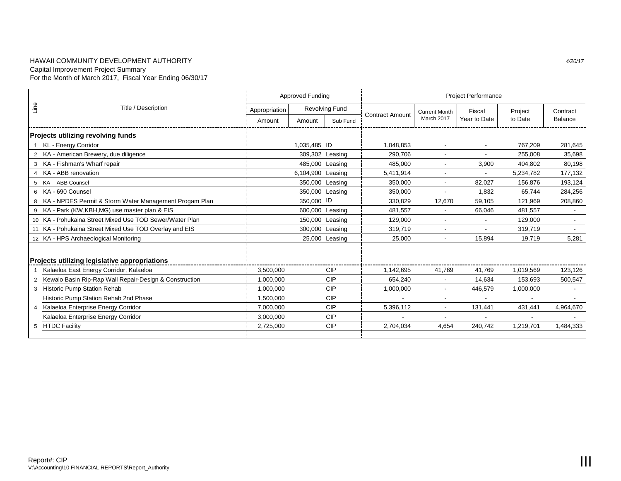## HAWAII COMMUNITY DEVELOPMENT AUTHORITY *4/20/17* Capital Improvement Project Summary For the Month of March 2017, Fiscal Year Ending 06/30/17

|      |                                                          |                                        | <b>Approved Funding</b> |                | <b>Project Performance</b> |                      |                          |                          |                |  |
|------|----------------------------------------------------------|----------------------------------------|-------------------------|----------------|----------------------------|----------------------|--------------------------|--------------------------|----------------|--|
| Line | Title / Description                                      | <b>Revolving Fund</b><br>Appropriation |                         |                |                            | <b>Current Month</b> | Fiscal                   | Project                  | Contract       |  |
|      |                                                          | Amount                                 | Amount                  | Sub Fund       | <b>Contract Amount</b>     | March 2017           | Year to Date             | to Date                  | <b>Balance</b> |  |
|      | <b>Projects utilizing revolving funds</b>                |                                        |                         |                |                            |                      |                          |                          |                |  |
|      | KL - Energy Corridor                                     |                                        | 1,035,485 ID            |                | 1,048,853                  |                      | $\blacksquare$           | 767,209                  | 281,645        |  |
|      | 2 KA - American Brewery, due diligence                   |                                        | 309,302 Leasing         |                | 290,706                    |                      |                          | 255,008                  | 35,698         |  |
|      | 3 KA - Fishman's Wharf repair                            |                                        | 485,000 Leasing         |                | 485.000                    |                      | 3,900                    | 404,802                  | 80,198         |  |
|      | 4 KA - ABB renovation                                    |                                        | 6,104,900 Leasing       |                | 5,411,914                  | $\sim$               | $\blacksquare$           | 5,234,782                | 177,132        |  |
|      | 5 KA - ABB Counsel                                       |                                        | 350,000 Leasing         |                | 350,000                    |                      | 82.027                   | 156,876                  | 193,124        |  |
|      | 6 KA - 690 Counsel                                       |                                        | 350,000 Leasing         |                | 350,000                    |                      | 1,832                    | 65,744                   | 284,256        |  |
|      | 8 KA - NPDES Permit & Storm Water Management Progam Plan |                                        | 350,000 ID              |                | 330,829                    | 12,670               | 59,105                   | 121,969                  | 208,860        |  |
|      | 9 KA - Park (KW, KBH, MG) use master plan & EIS          |                                        | 600,000 Leasing         |                | 481,557                    |                      | 66,046                   | 481,557                  |                |  |
|      | 10 KA - Pohukaina Street Mixed Use TOD Sewer/Water Plan  |                                        | 150,000 Leasing         |                | 129,000                    | $\sim$               | $\blacksquare$           | 129,000                  |                |  |
|      | 11 KA - Pohukaina Street Mixed Use TOD Overlay and EIS   |                                        | 300,000 Leasing         |                | 319,719                    |                      |                          | 319,719                  |                |  |
|      | 12 KA - HPS Archaeological Monitoring                    |                                        |                         | 25,000 Leasing | 25,000                     |                      | 15,894                   | 19,719                   | 5,281          |  |
|      |                                                          |                                        |                         |                |                            |                      |                          |                          |                |  |
|      | Projects utilizing legislative appropriations            |                                        |                         |                |                            |                      |                          |                          |                |  |
|      | Kalaeloa East Energy Corridor, Kalaeloa                  | 3,500,000                              |                         | CIP            | 1.142.695                  | 41.769               | 41.769                   | 1,019,569                | 123,126        |  |
|      | 2 Kewalo Basin Rip-Rap Wall Repair-Design & Construction | 1,000,000                              |                         | CIP            | 654.240                    |                      | 14,634                   | 153,693                  | 500,547        |  |
|      | 3 Historic Pump Station Rehab                            | 1.000.000                              |                         | <b>CIP</b>     | 1,000,000                  |                      | 446,579                  | 1,000,000                |                |  |
|      | Historic Pump Station Rehab 2nd Phase                    | 1.500.000                              |                         | <b>CIP</b>     |                            |                      | $\overline{\phantom{0}}$ | $\overline{\phantom{a}}$ |                |  |
|      | 4 Kalaeloa Enterprise Energy Corridor                    | 7,000,000                              |                         | <b>CIP</b>     | 5,396,112                  |                      | 131,441                  | 431,441                  | 4,964,670      |  |
|      | Kalaeloa Enterprise Energy Corridor                      | 3,000,000                              |                         | <b>CIP</b>     |                            |                      | $\overline{\phantom{a}}$ | $\overline{\phantom{a}}$ |                |  |
|      | 5 HTDC Facility                                          | 2,725,000                              |                         | <b>CIP</b>     | 2,704,034                  | 4,654                | 240,742                  | 1,219,701                | 1,484,333      |  |
|      |                                                          |                                        |                         |                |                            |                      |                          |                          |                |  |